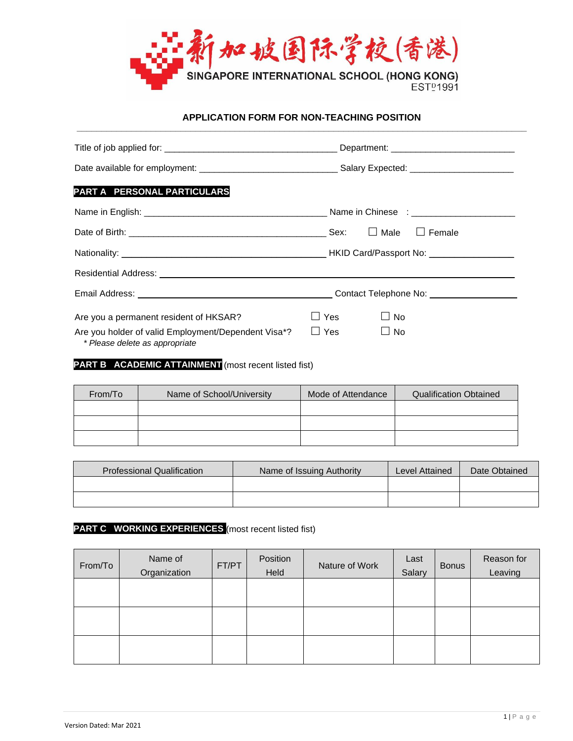

#### **APPLICATION FORM FOR NON-TEACHING POSITION \_\_\_\_\_\_\_\_\_\_\_\_\_\_\_\_\_\_\_\_\_\_\_\_\_\_\_\_\_\_\_\_\_\_\_\_\_\_\_\_\_\_\_\_\_\_\_\_\_\_\_\_\_\_\_\_\_\_\_\_\_\_\_\_\_\_\_\_\_\_\_\_\_\_\_\_\_\_\_\_\_\_\_\_\_\_\_\_\_\_\_**

| PART A PERSONAL PARTICULARS                                                                                                                                                                                                         |                         |
|-------------------------------------------------------------------------------------------------------------------------------------------------------------------------------------------------------------------------------------|-------------------------|
|                                                                                                                                                                                                                                     |                         |
|                                                                                                                                                                                                                                     |                         |
|                                                                                                                                                                                                                                     |                         |
| Residential Address: <u>experience</u> and the contract of the contract of the contract of the contract of the contract of the contract of the contract of the contract of the contract of the contract of the contract of the cont |                         |
|                                                                                                                                                                                                                                     |                         |
| Are you a permanent resident of HKSAR?                                                                                                                                                                                              | ⊿ Yes<br>$\Box$ No      |
| Are you holder of valid Employment/Dependent Visa*?<br>* Please delete as appropriate                                                                                                                                               | $\Box$ Yes<br>$\Box$ No |

## **PART B ACADEMIC ATTAINMENT** (most recent listed fist)

| From/To | Name of School/University | Mode of Attendance | <b>Qualification Obtained</b> |
|---------|---------------------------|--------------------|-------------------------------|
|         |                           |                    |                               |
|         |                           |                    |                               |
|         |                           |                    |                               |

| <b>Professional Qualification</b> | Name of Issuing Authority | Level Attained | Date Obtained |
|-----------------------------------|---------------------------|----------------|---------------|
|                                   |                           |                |               |
|                                   |                           |                |               |

# **PART C WORKING EXPERIENCES** (most recent listed fist)

| From/To | Name of<br>Organization | FT/PT | Position<br>Held | Nature of Work | Last<br>Salary | <b>Bonus</b> | Reason for<br>Leaving |
|---------|-------------------------|-------|------------------|----------------|----------------|--------------|-----------------------|
|         |                         |       |                  |                |                |              |                       |
|         |                         |       |                  |                |                |              |                       |
|         |                         |       |                  |                |                |              |                       |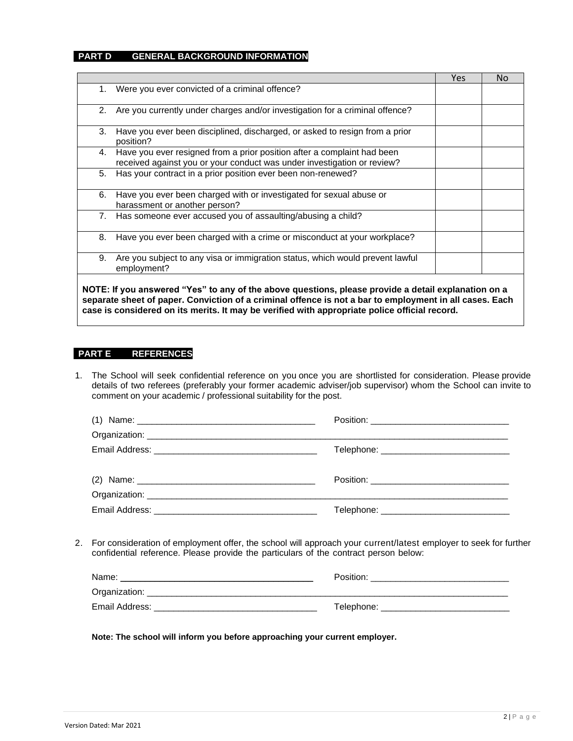### **PART D GENERAL BACKGROUND INFORMATION**

|                                                                                                                                                          | <b>Yes</b> | No. |
|----------------------------------------------------------------------------------------------------------------------------------------------------------|------------|-----|
| Were you ever convicted of a criminal offence?<br>1.                                                                                                     |            |     |
| Are you currently under charges and/or investigation for a criminal offence?<br>2.                                                                       |            |     |
| Have you ever been disciplined, discharged, or asked to resign from a prior<br>3.<br>position?                                                           |            |     |
| Have you ever resigned from a prior position after a complaint had been<br>4.<br>received against you or your conduct was under investigation or review? |            |     |
| Has your contract in a prior position ever been non-renewed?<br>5.                                                                                       |            |     |
| Have you ever been charged with or investigated for sexual abuse or<br>6.<br>harassment or another person?                                               |            |     |
| Has someone ever accused you of assaulting/abusing a child?<br>7.                                                                                        |            |     |
| Have you ever been charged with a crime or misconduct at your workplace?<br>8.                                                                           |            |     |
| Are you subject to any visa or immigration status, which would prevent lawful<br>9.<br>employment?                                                       |            |     |
| NOTE: If you answered "Yes" to any of the above questions, please provide a detail explanation on a                                                      |            |     |

**separate sheet of paper. Conviction of a criminal offence is not a bar to employment in all cases. Each case is considered on its merits. It may be verified with appropriate police official record.**

#### **PART E REFERENCES**

1. The School will seek confidential reference on you once you are shortlisted for consideration. Please provide details of two referees (preferably your former academic adviser/job supervisor) whom the School can invite to comment on your academic / professional suitability for the post.

| (1) Name: $\frac{1}{2}$ Name: $\frac{1}{2}$ $\frac{1}{2}$ $\frac{1}{2}$ $\frac{1}{2}$ $\frac{1}{2}$ $\frac{1}{2}$ $\frac{1}{2}$ $\frac{1}{2}$ $\frac{1}{2}$ $\frac{1}{2}$ $\frac{1}{2}$ $\frac{1}{2}$ $\frac{1}{2}$ $\frac{1}{2}$ $\frac{1}{2}$ $\frac{1}{2}$ $\frac{1}{2}$ $\frac{1}{2}$ $\frac{1}{2}$ $\frac{1$ |                                               |
|-------------------------------------------------------------------------------------------------------------------------------------------------------------------------------------------------------------------------------------------------------------------------------------------------------------------|-----------------------------------------------|
|                                                                                                                                                                                                                                                                                                                   |                                               |
|                                                                                                                                                                                                                                                                                                                   | Telephone: __________________________________ |
|                                                                                                                                                                                                                                                                                                                   |                                               |
|                                                                                                                                                                                                                                                                                                                   |                                               |
|                                                                                                                                                                                                                                                                                                                   | Telephone: _________________________________  |

2. For consideration of employment offer, the school will approach your current/latest employer to seek for further confidential reference. Please provide the particulars of the contract person below:

| Name:          | Position:  |
|----------------|------------|
| Organization:  |            |
| Email Address: | Telephone: |

**Note: The school will inform you before approaching your current employer.**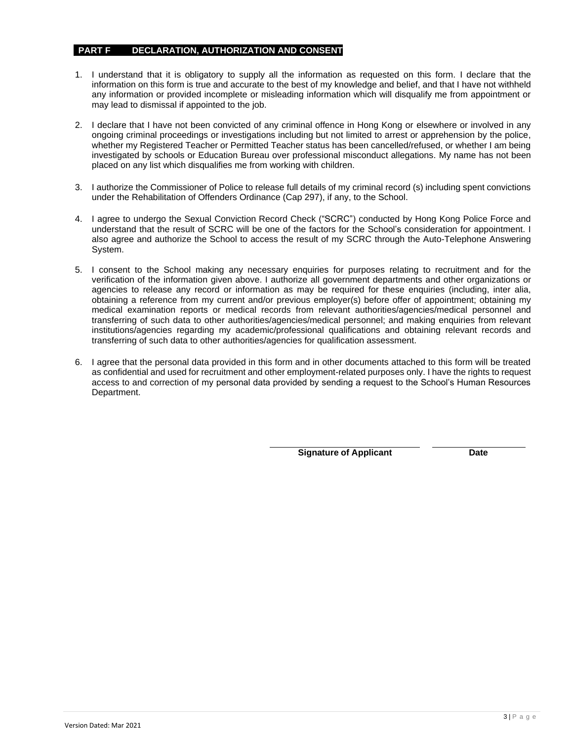### **PART F DECLARATION, AUTHORIZATION AND CONSENT**

- 1. I understand that it is obligatory to supply all the information as requested on this form. I declare that the information on this form is true and accurate to the best of my knowledge and belief, and that I have not withheld any information or provided incomplete or misleading information which will disqualify me from appointment or may lead to dismissal if appointed to the job.
- 2. I declare that I have not been convicted of any criminal offence in Hong Kong or elsewhere or involved in any ongoing criminal proceedings or investigations including but not limited to arrest or apprehension by the police, whether my Registered Teacher or Permitted Teacher status has been cancelled/refused, or whether I am being investigated by schools or Education Bureau over professional misconduct allegations. My name has not been placed on any list which disqualifies me from working with children.
- 3. I authorize the Commissioner of Police to release full details of my criminal record (s) including spent convictions under the Rehabilitation of Offenders Ordinance (Cap 297), if any, to the School.
- 4. I agree to undergo the Sexual Conviction Record Check ("SCRC") conducted by Hong Kong Police Force and understand that the result of SCRC will be one of the factors for the School's consideration for appointment. I also agree and authorize the School to access the result of my SCRC through the Auto-Telephone Answering System.
- 5. I consent to the School making any necessary enquiries for purposes relating to recruitment and for the verification of the information given above. I authorize all government departments and other organizations or agencies to release any record or information as may be required for these enquiries (including, inter alia, obtaining a reference from my current and/or previous employer(s) before offer of appointment; obtaining my medical examination reports or medical records from relevant authorities/agencies/medical personnel and transferring of such data to other authorities/agencies/medical personnel; and making enquiries from relevant institutions/agencies regarding my academic/professional qualifications and obtaining relevant records and transferring of such data to other authorities/agencies for qualification assessment.
- 6. I agree that the personal data provided in this form and in other documents attached to this form will be treated as confidential and used for recruitment and other employment-related purposes only. I have the rights to request access to and correction of my personal data provided by sending a request to the School's Human Resources Department.

**Signature of Applicant Date**